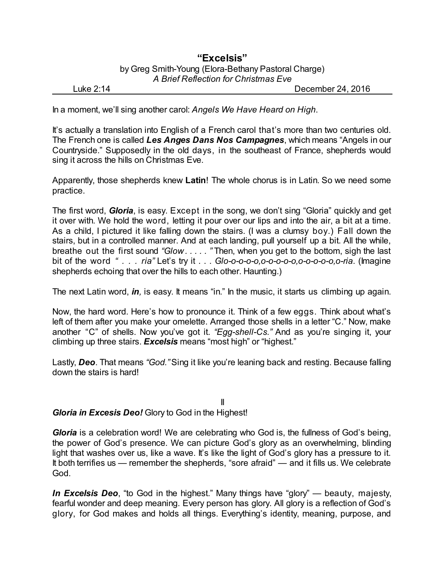## **"Excelsis"** by Greg Smith-Young (Elora-Bethany Pastoral Charge) *A Brief Reflection for Christmas Eve*

Luke 2:14 December 24, 2016

In a moment, we'll sing another carol: *Angels We Have Heard on High*.

It's actually a translation into English of a French carol that's more than two centuries old. The French one is called *Les Anges Dans Nos Campagnes*, which means "Angels in our Countryside." Supposedly in the old days, in the southeast of France, shepherds would sing it across the hills on Christmas Eve.

Apparently, those shepherds knew **Latin**! The whole chorus is in Latin. So we need some practice.

The first word, *Gloria*, is easy. Except in the song, we don't sing "Gloria" quickly and get it over with. We hold the word, letting it pour over our lips and into the air, a bit at a time. As a child, I pictured it like falling down the stairs. (I was a clumsy boy.) Fall down the stairs, but in a controlled manner. And at each landing, pull yourself up a bit. All the while, breathe out the first sound *"Glow . . . . . "* Then, when you get to the bottom, sigh the last bit of the word *" . . . ria"* Let's try it . . . *Glo-o-o-o-o,o-o-o-o-o,o-o-o-o-o,o-ria*. (Imagine shepherds echoing that over the hills to each other. Haunting.)

The next Latin word, *in,* is easy. It means "in." In the music, it starts us climbing up again.

Now, the hard word. Here's how to pronounce it. Think of a few eggs. Think about what's left of them after you make your omelette. Arranged those shells in a letter "C." Now, make another "C" of shells. Now you've got it. *"Egg-shell-Cs."* And as you're singing it, your climbing up three stairs. *Excelsis* means "most high" or "highest."

Lastly, *Deo*. That means *"God."*Sing it like you're leaning back and resting. Because falling down the stairs is hard!

II *Gloria in Excesis Deo!* Glory to God in the Highest!

*Gloria* is a celebration word! We are celebrating who God is, the fullness of God's being, the power of God's presence. We can picture God's glory as an overwhelming, blinding light that washes over us, like a wave. It's like the light of God's glory has a pressure to it. It both terrifies us — remember the shepherds, "sore afraid" — and it fills us. We celebrate God.

*In Excelsis Deo*, "to God in the highest." Many things have "glory" — beauty, majesty, fearful wonder and deep meaning. Every person has glory. All glory is a reflection of God's glory, for God makes and holds all things. Everything's identity, meaning, purpose, and